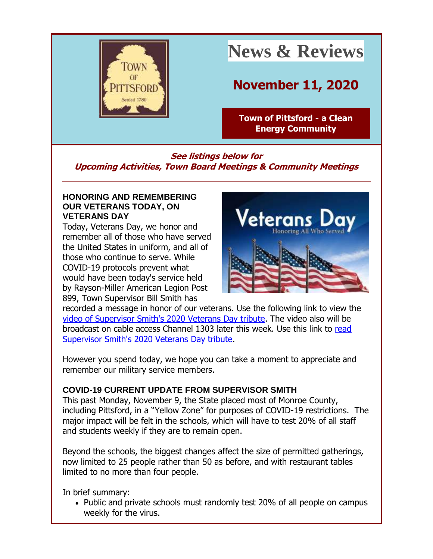

# **News & Reviews**

# **November 11, 2020**

**[Town of Pittsford -](http://r20.rs6.net/tn.jsp?f=001KPnFdqaD963YtucflQAerrsL6DVNFP6U30jIe8UvP_XvvpQyHqjrj2jSvVJH1GASuezX0qH09-rXq8TprRJBGj3NkMvKsQp0HTMPpEeZp3Tj267KiGSYKlifORvJuNGRn1WSdyYsfF4QNLQ0F1BC5zGHznINtIaX&c=3gRq5VHsHzABzVd6yEi_CYZQb9o0Znk9b8K6CxcBzTlWP3M53DwvUA==&ch=L43PCobAZbxYNDfpn8UWr1YBHViM3SDRVcRYbgdboJMt0cLjNz4pdA==) a Clean [Energy Community](http://r20.rs6.net/tn.jsp?f=001KPnFdqaD963YtucflQAerrsL6DVNFP6U30jIe8UvP_XvvpQyHqjrj2jSvVJH1GASuezX0qH09-rXq8TprRJBGj3NkMvKsQp0HTMPpEeZp3Tj267KiGSYKlifORvJuNGRn1WSdyYsfF4QNLQ0F1BC5zGHznINtIaX&c=3gRq5VHsHzABzVd6yEi_CYZQb9o0Znk9b8K6CxcBzTlWP3M53DwvUA==&ch=L43PCobAZbxYNDfpn8UWr1YBHViM3SDRVcRYbgdboJMt0cLjNz4pdA==)**

## **See listings below for Upcoming Activities, Town Board Meetings & Community Meetings**

#### **HONORING AND REMEMBERING OUR VETERANS TODAY, ON VETERANS DAY**

Today, Veterans Day, we honor and remember all of those who have served the United States in uniform, and all of those who continue to serve. While COVID-19 protocols prevent what would have been today's service held by Rayson-Miller American Legion Post 899, Town Supervisor Bill Smith has



recorded a message in honor of our veterans. Use the following link to view the [video of Supervisor Smith's 2020 Veterans Day tribute.](http://r20.rs6.net/tn.jsp?f=001KPnFdqaD963YtucflQAerrsL6DVNFP6U30jIe8UvP_XvvpQyHqjrj5XR8oFWzr7ovRXqRy5-sz8YqymxIwXou0XlmXKlCbs7IJZKBV4cTqB6X3KJ2EIigDKvkCcJBTkKL5r5UftmgpVhaXR4ZZ9KXiETo-BwxxNus2Sj6c-UbL0up8J1uXSR3tw6KJ8V2n-SPJVDUUPm9BY=&c=3gRq5VHsHzABzVd6yEi_CYZQb9o0Znk9b8K6CxcBzTlWP3M53DwvUA==&ch=L43PCobAZbxYNDfpn8UWr1YBHViM3SDRVcRYbgdboJMt0cLjNz4pdA==) The video also will be broadcast on cable access Channel 1303 later this week. Use this link to [read](http://r20.rs6.net/tn.jsp?f=001KPnFdqaD963YtucflQAerrsL6DVNFP6U30jIe8UvP_XvvpQyHqjrj5XR8oFWzr7oOWuEfkQ6Q3vqmbwF_eEWVFhxNV456gHH-CWTKiDUH5DxuglDXWisRBC_ryUJ8aLMNqt-Nbk7n1wAfbYaneVVwgliG8x_HMV5n154vr6DXtUSx-QAFyw-VJhvMQ12YbIpZ6rRVw9HNec7h3NzIh2mjJFdrXwABkdbgYzaTsQhisKsmsQMruP2ITCPEhi2nEQ9&c=3gRq5VHsHzABzVd6yEi_CYZQb9o0Znk9b8K6CxcBzTlWP3M53DwvUA==&ch=L43PCobAZbxYNDfpn8UWr1YBHViM3SDRVcRYbgdboJMt0cLjNz4pdA==)  [Supervisor Smith's 2020 Veterans Day tribute.](http://r20.rs6.net/tn.jsp?f=001KPnFdqaD963YtucflQAerrsL6DVNFP6U30jIe8UvP_XvvpQyHqjrj5XR8oFWzr7oOWuEfkQ6Q3vqmbwF_eEWVFhxNV456gHH-CWTKiDUH5DxuglDXWisRBC_ryUJ8aLMNqt-Nbk7n1wAfbYaneVVwgliG8x_HMV5n154vr6DXtUSx-QAFyw-VJhvMQ12YbIpZ6rRVw9HNec7h3NzIh2mjJFdrXwABkdbgYzaTsQhisKsmsQMruP2ITCPEhi2nEQ9&c=3gRq5VHsHzABzVd6yEi_CYZQb9o0Znk9b8K6CxcBzTlWP3M53DwvUA==&ch=L43PCobAZbxYNDfpn8UWr1YBHViM3SDRVcRYbgdboJMt0cLjNz4pdA==)

However you spend today, we hope you can take a moment to appreciate and remember our military service members.

### **COVID-19 CURRENT UPDATE FROM SUPERVISOR SMITH**

This past Monday, November 9, the State placed most of Monroe County, including Pittsford, in a "Yellow Zone" for purposes of COVID-19 restrictions. The major impact will be felt in the schools, which will have to test 20% of all staff and students weekly if they are to remain open.

Beyond the schools, the biggest changes affect the size of permitted gatherings, now limited to 25 people rather than 50 as before, and with restaurant tables limited to no more than four people.

In brief summary:

• Public and private schools must randomly test 20% of all people on campus weekly for the virus.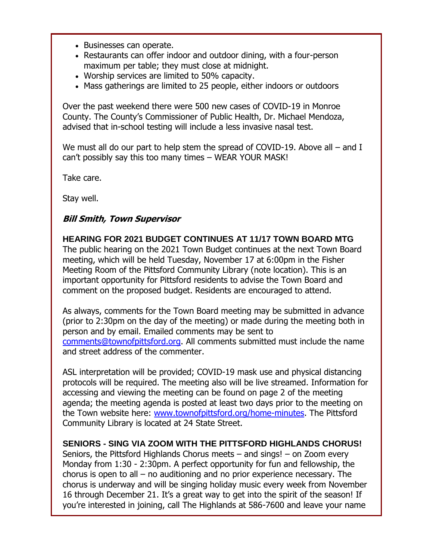- Businesses can operate.
- Restaurants can offer indoor and outdoor dining, with a four-person maximum per table; they must close at midnight.
- Worship services are limited to 50% capacity.
- Mass gatherings are limited to 25 people, either indoors or outdoors

Over the past weekend there were 500 new cases of COVID-19 in Monroe County. The County's Commissioner of Public Health, Dr. Michael Mendoza, advised that in-school testing will include a less invasive nasal test.

We must all do our part to help stem the spread of COVID-19. Above all – and I can't possibly say this too many times – WEAR YOUR MASK!

Take care.

Stay well.

### **Bill Smith, Town Supervisor**

**HEARING FOR 2021 BUDGET CONTINUES AT 11/17 TOWN BOARD MTG** The public hearing on the 2021 Town Budget continues at the next Town Board meeting, which will be held Tuesday, November 17 at 6:00pm in the Fisher Meeting Room of the Pittsford Community Library (note location). This is an important opportunity for Pittsford residents to advise the Town Board and comment on the proposed budget. Residents are encouraged to attend.

As always, comments for the Town Board meeting may be submitted in advance (prior to 2:30pm on the day of the meeting) or made during the meeting both in person and by email. Emailed comments may be sent to [comments@townofpittsford.org.](mailto:comments@townofpittsford.org) All comments submitted must include the name and street address of the commenter.

ASL interpretation will be provided; COVID-19 mask use and physical distancing protocols will be required. The meeting also will be live streamed. Information for accessing and viewing the meeting can be found on page 2 of the meeting agenda; the meeting agenda is posted at least two days prior to the meeting on the Town website here: [www.townofpittsford.org/home-minutes.](http://r20.rs6.net/tn.jsp?f=001KPnFdqaD963YtucflQAerrsL6DVNFP6U30jIe8UvP_XvvpQyHqjrj4UmNmtrLFxrGELjAdKq3bbR_a7dqT0J2bNq0D6Sh7Fzvq330VyUNZSuG1Zo2K1cszG6Wmxs3kWa452SQyupJamxlBWOn0hcV5lfVHRYyu9O2rpj0V_ueOM=&c=3gRq5VHsHzABzVd6yEi_CYZQb9o0Znk9b8K6CxcBzTlWP3M53DwvUA==&ch=L43PCobAZbxYNDfpn8UWr1YBHViM3SDRVcRYbgdboJMt0cLjNz4pdA==) The Pittsford Community Library is located at 24 State Street.

#### **SENIORS - SING VIA ZOOM WITH THE PITTSFORD HIGHLANDS CHORUS!**

Seniors, the Pittsford Highlands Chorus meets – and sings! – on Zoom every Monday from 1:30 - 2:30pm. A perfect opportunity for fun and fellowship, the chorus is open to all – no auditioning and no prior experience necessary. The chorus is underway and will be singing holiday music every week from November 16 through December 21. It's a great way to get into the spirit of the season! If you're interested in joining, call The Highlands at 586-7600 and leave your name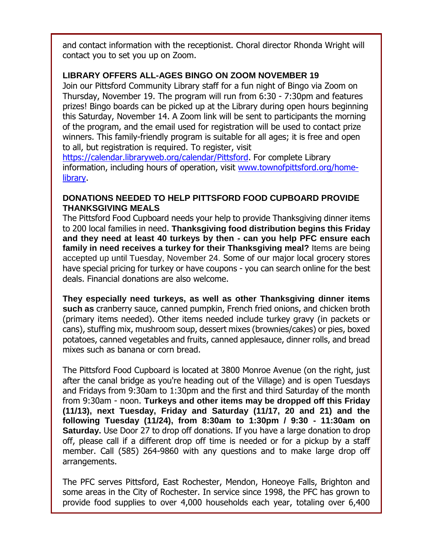and contact information with the receptionist. Choral director Rhonda Wright will contact you to set you up on Zoom.

#### **LIBRARY OFFERS ALL-AGES BINGO ON ZOOM NOVEMBER 19**

Join our Pittsford Community Library staff for a fun night of Bingo via Zoom on Thursday, November 19. The program will run from 6:30 - 7:30pm and features prizes! Bingo boards can be picked up at the Library during open hours beginning this Saturday, November 14. A Zoom link will be sent to participants the morning of the program, and the email used for registration will be used to contact prize winners. This family-friendly program is suitable for all ages; it is free and open to all, but registration is required. To register, visit

[https://calendar.libraryweb.org/calendar/Pittsford.](http://r20.rs6.net/tn.jsp?f=001KPnFdqaD963YtucflQAerrsL6DVNFP6U30jIe8UvP_XvvpQyHqjrj5XR8oFWzr7oRSQKFp88oVMRCD-ZcBYk4xJUoTfWEBnKtelFTvEN8dXOG7m6UllkTnb7Ufm8pZGRgbWOOD_NSIWLu0JS8m-gtURu-iLfuucPnmO3QHOYton-oSEUw9WaBg==&c=3gRq5VHsHzABzVd6yEi_CYZQb9o0Znk9b8K6CxcBzTlWP3M53DwvUA==&ch=L43PCobAZbxYNDfpn8UWr1YBHViM3SDRVcRYbgdboJMt0cLjNz4pdA==) For complete Library information, including hours of operation, visit [www.townofpittsford.org/home](http://r20.rs6.net/tn.jsp?f=001KPnFdqaD963YtucflQAerrsL6DVNFP6U30jIe8UvP_XvvpQyHqjrj7vTBJZt2m_jBba3b5KAsHC_qyK5xzb_enViAskmDiYjcKkCTUp_O2c6wZaveSb1SLCNWKFarYgyVkYuyxZKYphLqgOC7xKbXK8YZrsNumWIG259N9DSy6M=&c=3gRq5VHsHzABzVd6yEi_CYZQb9o0Znk9b8K6CxcBzTlWP3M53DwvUA==&ch=L43PCobAZbxYNDfpn8UWr1YBHViM3SDRVcRYbgdboJMt0cLjNz4pdA==)[library.](http://r20.rs6.net/tn.jsp?f=001KPnFdqaD963YtucflQAerrsL6DVNFP6U30jIe8UvP_XvvpQyHqjrj7vTBJZt2m_jBba3b5KAsHC_qyK5xzb_enViAskmDiYjcKkCTUp_O2c6wZaveSb1SLCNWKFarYgyVkYuyxZKYphLqgOC7xKbXK8YZrsNumWIG259N9DSy6M=&c=3gRq5VHsHzABzVd6yEi_CYZQb9o0Znk9b8K6CxcBzTlWP3M53DwvUA==&ch=L43PCobAZbxYNDfpn8UWr1YBHViM3SDRVcRYbgdboJMt0cLjNz4pdA==)

#### **DONATIONS NEEDED TO HELP PITTSFORD FOOD CUPBOARD PROVIDE THANKSGIVING MEALS**

The Pittsford Food Cupboard needs your help to provide Thanksgiving dinner items to 200 local families in need. **Thanksgiving food distribution begins this Friday and they need at least 40 turkeys by then - can you help PFC ensure each family in need receives a turkey for their Thanksgiving meal?** Items are being accepted up until Tuesday, November 24. Some of our major local grocery stores have special pricing for turkey or have coupons - you can search online for the best deals. Financial donations are also welcome.

**They especially need turkeys, as well as other Thanksgiving dinner items such as** cranberry sauce, canned pumpkin, French fried onions, and chicken broth (primary items needed). Other items needed include turkey gravy (in packets or cans), stuffing mix, mushroom soup, dessert mixes (brownies/cakes) or pies, boxed potatoes, canned vegetables and fruits, canned applesauce, dinner rolls, and bread mixes such as banana or corn bread.

The Pittsford Food Cupboard is located at 3800 Monroe Avenue (on the right, just after the canal bridge as you're heading out of the Village) and is open Tuesdays and Fridays from 9:30am to 1:30pm and the first and third Saturday of the month from 9:30am - noon. **Turkeys and other items may be dropped off this Friday (11/13), next Tuesday, Friday and Saturday (11/17, 20 and 21) and the following Tuesday (11/24), from 8:30am to 1:30pm / 9:30 - 11:30am on Saturday.** Use Door 27 to drop off donations. If you have a large donation to drop off, please call if a different drop off time is needed or for a pickup by a staff member. Call (585) 264-9860 with any questions and to make large drop off arrangements.

The PFC serves Pittsford, East Rochester, Mendon, Honeoye Falls, Brighton and some areas in the City of Rochester. In service since 1998, the PFC has grown to provide food supplies to over 4,000 households each year, totaling over 6,400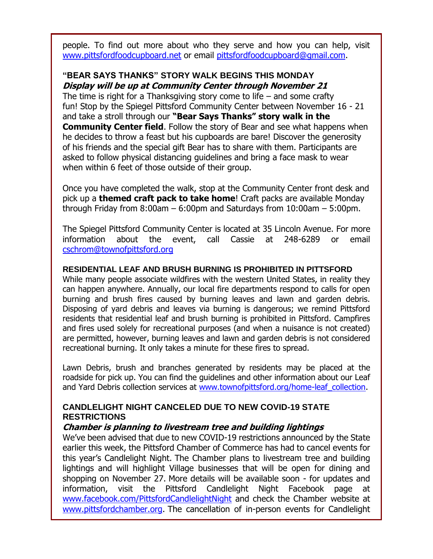people. To find out more about who they serve and how you can help, visit [www.pittsfordfoodcupboard.net](http://r20.rs6.net/tn.jsp?f=001KPnFdqaD963YtucflQAerrsL6DVNFP6U30jIe8UvP_XvvpQyHqjrjydo5-RaWl8BuZmUeW3nVLMTZRFIPP50Y6tw8mlKMVPjVtkZCqosBIe3pzaPfoBr-tAYOuEuYQN4HAlQUDxJiMwoQtGvYYZlEcrbpFhkk9K5&c=3gRq5VHsHzABzVd6yEi_CYZQb9o0Znk9b8K6CxcBzTlWP3M53DwvUA==&ch=L43PCobAZbxYNDfpn8UWr1YBHViM3SDRVcRYbgdboJMt0cLjNz4pdA==) or email [pittsfordfoodcupboard@gmail.com.](mailto:pittfoodcup14534@gmail.com?subject=Thanksgiving%20meal%20donations)

### **"BEAR SAYS THANKS" STORY WALK BEGINS THIS MONDAY Display will be up at Community Center through November 21**

The time is right for a Thanksgiving story come to life  $-$  and some crafty fun! Stop by the Spiegel Pittsford Community Center between November 16 - 21 and take a stroll through our **"Bear Says Thanks" story walk in the Community Center field.** Follow the story of Bear and see what happens when he decides to throw a feast but his cupboards are bare! Discover the generosity of his friends and the special gift Bear has to share with them. Participants are asked to follow physical distancing guidelines and bring a face mask to wear when within 6 feet of those outside of their group.

Once you have completed the walk, stop at the Community Center front desk and pick up a **themed craft pack to take home**! Craft packs are available Monday through Friday from 8:00am – 6:00pm and Saturdays from 10:00am – 5:00pm.

The Spiegel Pittsford Community Center is located at 35 Lincoln Avenue. For more information about the event, call Cassie at 248-6289 or email [cschrom@townofpittsford.org](mailto:cschrom@townofpittsford.org)

#### **RESIDENTIAL LEAF AND BRUSH BURNING IS PROHIBITED IN PITTSFORD**

While many people associate wildfires with the western United States, in reality they can happen anywhere. Annually, our local fire departments respond to calls for open burning and brush fires caused by burning leaves and lawn and garden debris. Disposing of yard debris and leaves via burning is dangerous; we remind Pittsford residents that residential leaf and brush burning is prohibited in Pittsford. Campfires and fires used solely for recreational purposes (and when a nuisance is not created) are permitted, however, burning leaves and lawn and garden debris is not considered recreational burning. It only takes a minute for these fires to spread.

Lawn Debris, brush and branches generated by residents may be placed at the roadside for pick up. You can find the guidelines and other information about our Leaf and Yard Debris collection services at www.townofpittsford.org/home-leaf collection.

#### **CANDLELIGHT NIGHT CANCELED DUE TO NEW COVID-19 STATE RESTRICTIONS**

#### **Chamber is planning to livestream tree and building lightings**

We've been advised that due to new COVID-19 restrictions announced by the State earlier this week, the Pittsford Chamber of Commerce has had to cancel events for this year's Candlelight Night. The Chamber plans to livestream tree and building lightings and will highlight Village businesses that will be open for dining and shopping on November 27. More details will be available soon - for updates and information, visit the Pittsford Candlelight Night Facebook page at [www.facebook.com/PittsfordCandlelightNight](http://r20.rs6.net/tn.jsp?f=001KPnFdqaD963YtucflQAerrsL6DVNFP6U30jIe8UvP_XvvpQyHqjrj6z0XplyD7EOBsaJcmve9fS3Xp_OgV67cqqEGJHHYIYHHyGuGhkjUWywm4cM4uQMgFJRLD_yWjSZKRp1cqapFxC9LBbMO04kIH-PgYPnE00WEDykEFDPIuHpcBCdbht5mg==&c=3gRq5VHsHzABzVd6yEi_CYZQb9o0Znk9b8K6CxcBzTlWP3M53DwvUA==&ch=L43PCobAZbxYNDfpn8UWr1YBHViM3SDRVcRYbgdboJMt0cLjNz4pdA==) and check the Chamber website at [www.pittsfordchamber.org.](http://r20.rs6.net/tn.jsp?f=001KPnFdqaD963YtucflQAerrsL6DVNFP6U30jIe8UvP_XvvpQyHqjrj4lOylg6F9OW9_MDrrGCeVR7h7mGLzfVL8kkVu1a7M92Kwa1TNEYuLr-Hs_-LKbybTS7PR9_UJTXecdsFpLzxHRd6iaxE_DXSlf1KKW16o1B&c=3gRq5VHsHzABzVd6yEi_CYZQb9o0Znk9b8K6CxcBzTlWP3M53DwvUA==&ch=L43PCobAZbxYNDfpn8UWr1YBHViM3SDRVcRYbgdboJMt0cLjNz4pdA==) The cancellation of in-person events for Candlelight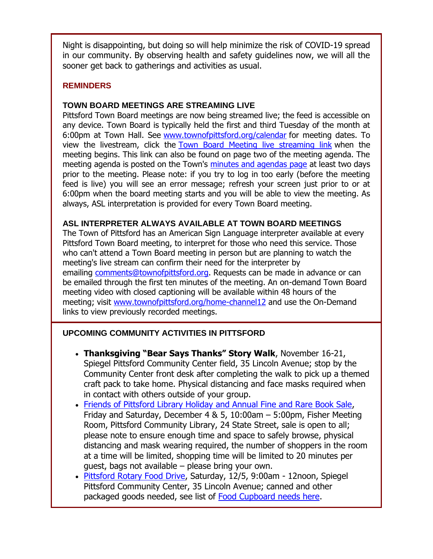Night is disappointing, but doing so will help minimize the risk of COVID-19 spread in our community. By observing health and safety guidelines now, we will all the sooner get back to gatherings and activities as usual.

#### **REMINDERS**

#### **TOWN BOARD MEETINGS ARE STREAMING LIVE**

Pittsford Town Board meetings are now being streamed live; the feed is accessible on any device. Town Board is typically held the first and third Tuesday of the month at 6:00pm at Town Hall. See [www.townofpittsford.org/calendar](http://r20.rs6.net/tn.jsp?f=001KPnFdqaD963YtucflQAerrsL6DVNFP6U30jIe8UvP_XvvpQyHqjrjyfBYyJJJoQLJBkRY3XbXwrG_kyl2PKIlYmSzDX2ul4Ne6m8IT30rZ7KvfC1ayWWA9YeOpxqwqm0YrOanIzeqX1n0ZDxKd5o-dbA60d5SsjN3NG8PbP6z78=&c=3gRq5VHsHzABzVd6yEi_CYZQb9o0Znk9b8K6CxcBzTlWP3M53DwvUA==&ch=L43PCobAZbxYNDfpn8UWr1YBHViM3SDRVcRYbgdboJMt0cLjNz4pdA==) for meeting dates. To view the livestream, click the [Town Board Meeting live streaming link](http://r20.rs6.net/tn.jsp?f=001KPnFdqaD963YtucflQAerrsL6DVNFP6U30jIe8UvP_XvvpQyHqjrjyfBYyJJJoQLvosV5kbia-ZuEfStn1HcjCxTdM5HLLa6yiPBKs2_rR33OGdTItdVbYB8Kc3ttchf7guXRkTbEOaXuMjXPGGEQp_gHmFWN8OGWR9VRpX3tkhjdXwavgmpsokOTJTMmSMgTzV5rZb2EaU6mUJJmWfWZpjd0v7E9UepmU-vM8Fp4EDp0mThlBcjYSPn_YmlB52Fo6LYIs96vKyLyLRtKyZG3Cz7bgt2CAhKTc4o_pDOjJ6Xxu2bKCbOU8SwH5sHHCF3&c=3gRq5VHsHzABzVd6yEi_CYZQb9o0Znk9b8K6CxcBzTlWP3M53DwvUA==&ch=L43PCobAZbxYNDfpn8UWr1YBHViM3SDRVcRYbgdboJMt0cLjNz4pdA==) when the meeting begins. This link can also be found on page two of the meeting agenda. The meeting agenda is posted on the Town's [minutes and agendas page](http://r20.rs6.net/tn.jsp?f=001KPnFdqaD963YtucflQAerrsL6DVNFP6U30jIe8UvP_XvvpQyHqjrj-EPShd33J3ilfdg_aJtwXqucIrOluMjm25nHdMHLcSdiqbDa-Zkvd3Uc_47Q1yVokor8kM3isbHQMsViVXvZ9Q4Zagd4Wzb0rY7mkJlD5utXVr4TAmQsas=&c=3gRq5VHsHzABzVd6yEi_CYZQb9o0Znk9b8K6CxcBzTlWP3M53DwvUA==&ch=L43PCobAZbxYNDfpn8UWr1YBHViM3SDRVcRYbgdboJMt0cLjNz4pdA==) at least two days prior to the meeting. Please note: if you try to log in too early (before the meeting feed is live) you will see an error message; refresh your screen just prior to or at 6:00pm when the board meeting starts and you will be able to view the meeting. As always, ASL interpretation is provided for every Town Board meeting.

#### **ASL INTERPRETER ALWAYS AVAILABLE AT TOWN BOARD MEETINGS**

The Town of Pittsford has an American Sign Language interpreter available at every Pittsford Town Board meeting, to interpret for those who need this service. Those who can't attend a Town Board meeting in person but are planning to watch the meeting's live stream can confirm their need for the interpreter by emailing [comments@townofpittsford.org.](mailto:comments@townofpittsford.org?subject=ASL%20interperter%20request%20for%20Town%20Board%20meeting) Requests can be made in advance or can be emailed through the first ten minutes of the meeting. An on-demand Town Board meeting video with closed captioning will be available within 48 hours of the meeting; visit [www.townofpittsford.org/home-channel12](http://r20.rs6.net/tn.jsp?f=001KPnFdqaD963YtucflQAerrsL6DVNFP6U30jIe8UvP_XvvpQyHqjrj9D-ltkY221Fs_Gh1F6IeZChBb0wwaoe4lejqZgz6HWma3-0_V4Lyub-DhoCkWBSZM-Fcdn08zczbv0V_8mH7O7WtrRgNse6-wocHz7HUBySS2nL1kA_tlk=&c=3gRq5VHsHzABzVd6yEi_CYZQb9o0Znk9b8K6CxcBzTlWP3M53DwvUA==&ch=L43PCobAZbxYNDfpn8UWr1YBHViM3SDRVcRYbgdboJMt0cLjNz4pdA==) and use the On-Demand links to view previously recorded meetings.

#### **UPCOMING COMMUNITY ACTIVITIES IN PITTSFORD**

- **Thanksgiving "Bear Says Thanks" Story Walk**, November 16-21, Spiegel Pittsford Community Center field, 35 Lincoln Avenue; stop by the Community Center front desk after completing the walk to pick up a themed craft pack to take home. Physical distancing and face masks required when in contact with others outside of your group.
- [Friends of Pittsford Library Holiday and Annual Fine and Rare Book Sale,](http://r20.rs6.net/tn.jsp?f=001KPnFdqaD963YtucflQAerrsL6DVNFP6U30jIe8UvP_XvvpQyHqjrjydo5-RaWl8Btomvc-XeXwxxXDZsPkLpSl5vX1rgy3UXcyvIy3h1avqD-dsVOCo0d3ykZbGBSkbdR4gIwrN8I_QmpyTsSZHqRbxRttMzjPb-&c=3gRq5VHsHzABzVd6yEi_CYZQb9o0Znk9b8K6CxcBzTlWP3M53DwvUA==&ch=L43PCobAZbxYNDfpn8UWr1YBHViM3SDRVcRYbgdboJMt0cLjNz4pdA==) Friday and Saturday, December 4 & 5, 10:00am – 5:00pm, Fisher Meeting Room, Pittsford Community Library, 24 State Street, sale is open to all; please note to ensure enough time and space to safely browse, physical distancing and mask wearing required, the number of shoppers in the room at a time will be limited, shopping time will be limited to 20 minutes per guest, bags not available – please bring your own.
- [Pittsford Rotary Food Drive,](http://r20.rs6.net/tn.jsp?f=001KPnFdqaD963YtucflQAerrsL6DVNFP6U30jIe8UvP_XvvpQyHqjrjw8c6x3ZWPps3vfXbHGjwzwBO_Ffagng5xu6zRbyKPOE7yWNeIrqycdJTODOrq-TtAXYBlViZmz1j8OdV9xQHQy71N-0eLy_dH60warmIgvmJqkeV8l54QBl7cnWnTogPXPR8QsY4K9vGKbsS6VuYPxyKHdT8Qb9v8bF5E-tdutmbVSQJM4tbt8aPdqzTrslyg==&c=3gRq5VHsHzABzVd6yEi_CYZQb9o0Znk9b8K6CxcBzTlWP3M53DwvUA==&ch=L43PCobAZbxYNDfpn8UWr1YBHViM3SDRVcRYbgdboJMt0cLjNz4pdA==) Saturday, 12/5, 9:00am 12noon, Spiegel Pittsford Community Center, 35 Lincoln Avenue; canned and other packaged goods needed, see list of [Food Cupboard needs here.](http://r20.rs6.net/tn.jsp?f=001KPnFdqaD963YtucflQAerrsL6DVNFP6U30jIe8UvP_XvvpQyHqjrj4YZH3zcii5DAvloXsVsTfYBdaEQNCpV5Ypu39AcvomoEJD_udp3-YT6iEJNlyTEVZCRveRBjIz1kc75XgjuwaQnFk18Ib7oMjyOlDd-q5QeT5q5kPSNndzzVME41bC_ZOF5ZXwQVbTu&c=3gRq5VHsHzABzVd6yEi_CYZQb9o0Znk9b8K6CxcBzTlWP3M53DwvUA==&ch=L43PCobAZbxYNDfpn8UWr1YBHViM3SDRVcRYbgdboJMt0cLjNz4pdA==)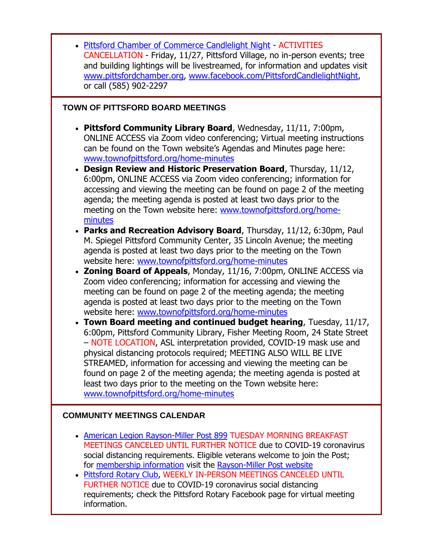| • Pittsford Chamber of Commerce Candlelight Night - ACTIVITIES<br>CANCELLATION - Friday, 11/27, Pittsford Village, no in-person events; tree<br>and building lightings will be livestreamed, for information and updates visit<br>www.pittsfordchamber.org, www.facebook.com/PittsfordCandlelightNight,<br>or call (585) 902-2297                                                                                                                                                                                                                                                                                                                                                                                                                                                                                                                                                                                                                                                                                                                                                                                                                                                                                          |
|----------------------------------------------------------------------------------------------------------------------------------------------------------------------------------------------------------------------------------------------------------------------------------------------------------------------------------------------------------------------------------------------------------------------------------------------------------------------------------------------------------------------------------------------------------------------------------------------------------------------------------------------------------------------------------------------------------------------------------------------------------------------------------------------------------------------------------------------------------------------------------------------------------------------------------------------------------------------------------------------------------------------------------------------------------------------------------------------------------------------------------------------------------------------------------------------------------------------------|
| TOWN OF PITTSFORD BOARD MEETINGS                                                                                                                                                                                                                                                                                                                                                                                                                                                                                                                                                                                                                                                                                                                                                                                                                                                                                                                                                                                                                                                                                                                                                                                           |
| • Pittsford Community Library Board, Wednesday, 11/11, 7:00pm,<br>ONLINE ACCESS via Zoom video conferencing; Virtual meeting instructions<br>can be found on the Town website's Agendas and Minutes page here:<br>www.townofpittsford.org/home-minutes<br><b>Design Review and Historic Preservation Board, Thursday, 11/12,</b><br>$\bullet$<br>6:00pm, ONLINE ACCESS via Zoom video conferencing; information for<br>accessing and viewing the meeting can be found on page 2 of the meeting<br>agenda; the meeting agenda is posted at least two days prior to the<br>meeting on the Town website here: www.townofpittsford.org/home-<br>minutes<br>• Parks and Recreation Advisory Board, Thursday, 11/12, 6:30pm, Paul<br>M. Spiegel Pittsford Community Center, 35 Lincoln Avenue; the meeting<br>agenda is posted at least two days prior to the meeting on the Town<br>website here: www.townofpittsford.org/home-minutes<br>• Zoning Board of Appeals, Monday, 11/16, 7:00pm, ONLINE ACCESS via<br>Zoom video conferencing; information for accessing and viewing the<br>meeting can be found on page 2 of the meeting agenda; the meeting<br>agenda is posted at least two days prior to the meeting on the Town |
| website here: www.townofpittsford.org/home-minutes                                                                                                                                                                                                                                                                                                                                                                                                                                                                                                                                                                                                                                                                                                                                                                                                                                                                                                                                                                                                                                                                                                                                                                         |
| • Town Board meeting and continued budget hearing, Tuesday, 11/17,<br>6:00pm, Pittsford Community Library, Fisher Meeting Room, 24 State Street<br>- NOTE LOCATION, ASL interpretation provided, COVID-19 mask use and<br>physical distancing protocols required; MEETING ALSO WILL BE LIVE<br>STREAMED, information for accessing and viewing the meeting can be<br>found on page 2 of the meeting agenda; the meeting agenda is posted at<br>least two days prior to the meeting on the Town website here:<br>www.townofpittsford.org/home-minutes                                                                                                                                                                                                                                                                                                                                                                                                                                                                                                                                                                                                                                                                       |
| <b>COMMUNITY MEETINGS CALENDAR</b>                                                                                                                                                                                                                                                                                                                                                                                                                                                                                                                                                                                                                                                                                                                                                                                                                                                                                                                                                                                                                                                                                                                                                                                         |
| • American Legion Rayson-Miller Post 899 TUESDAY MORNING BREAKFAST<br>MEETINGS CANCELED UNTIL FURTHER NOTICE due to COVID-19 coronavirus<br>social distancing requirements. Eligible veterans welcome to join the Post;<br>for membership information visit the Rayson-Miller Post website<br>Pittsford Rotary Club, WEEKLY IN-PERSON MEETINGS CANCELED UNTIL<br>FURTHER NOTICE due to COVID-19 coronavirus social distancing<br>requirements; check the Pittsford Rotary Facebook page for virtual meeting                                                                                                                                                                                                                                                                                                                                                                                                                                                                                                                                                                                                                                                                                                                |

information.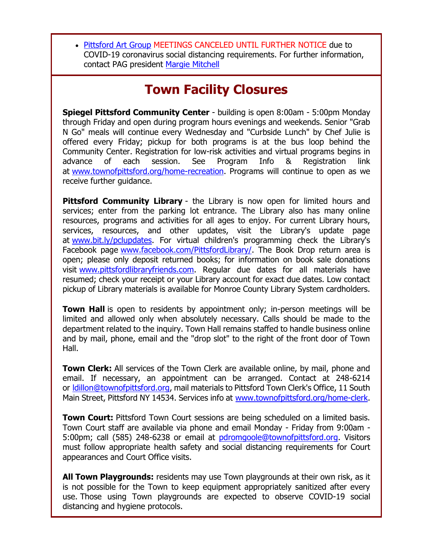[Pittsford Art Group](http://r20.rs6.net/tn.jsp?f=001KPnFdqaD963YtucflQAerrsL6DVNFP6U30jIe8UvP_XvvpQyHqjrjy3sXTuYcWv89XF_zAjxDAmd2X9Nunk8E2z_5V85b3rwmx4_RIaJXkCMTRq6FpRg4zlSFEJquM6Mwo3j0sqH00wX6HQF8iP49z5N1yVfw49DS4s9ZtmIVfI=&c=3gRq5VHsHzABzVd6yEi_CYZQb9o0Znk9b8K6CxcBzTlWP3M53DwvUA==&ch=L43PCobAZbxYNDfpn8UWr1YBHViM3SDRVcRYbgdboJMt0cLjNz4pdA==) MEETINGS CANCELED UNTIL FURTHER NOTICE due to COVID-19 coronavirus social distancing requirements. For further information, contact PAG president [Margie Mitchell](mailto:mhsmitchell@gmail.com?subject=Pittsford%20Art%20Group%20Meetings%20and%20Membership)

# **Town Facility Closures**

**Spiegel Pittsford Community Center** - building is open 8:00am - 5:00pm Monday through Friday and open during program hours evenings and weekends. Senior "Grab N Go" meals will continue every Wednesday and "Curbside Lunch" by Chef Julie is offered every Friday; pickup for both programs is at the bus loop behind the Community Center. Registration for low-risk activities and virtual programs begins in advance of each session. See Program Info & Registration link at [www.townofpittsford.org/home-recreation.](http://r20.rs6.net/tn.jsp?f=001KPnFdqaD963YtucflQAerrsL6DVNFP6U30jIe8UvP_XvvpQyHqjrj53Yjp9FpvLi8LJxRabxOtHwg39uTOcujwhXhwfNsfAArnmexYVFFSjmeRHNrLMf5gKnGuAOedELp6FdmqgR-IF5gM53-7cWpzfCw8ueCGtKTRgmDqm_4SG7U5ID75SzdQ==&c=3gRq5VHsHzABzVd6yEi_CYZQb9o0Znk9b8K6CxcBzTlWP3M53DwvUA==&ch=L43PCobAZbxYNDfpn8UWr1YBHViM3SDRVcRYbgdboJMt0cLjNz4pdA==) Programs will continue to open as we receive further guidance.

**Pittsford Community Library** - the Library is now open for limited hours and services; enter from the parking lot entrance. The Library also has many online resources, programs and activities for all ages to enjoy. For current Library hours, services, resources, and other updates, visit the Library's update page at [www.bit.ly/pclupdates.](http://r20.rs6.net/tn.jsp?f=001KPnFdqaD963YtucflQAerrsL6DVNFP6U30jIe8UvP_XvvpQyHqjrjw8c6x3ZWPps_58yzxRUXCgmST4h3HbfKWRIK0U_nzkanQEOiszIAdwXWApoCTJPck_ONE6XZAhMQa07sSpNoPpEWKot5AOlBQ==&c=3gRq5VHsHzABzVd6yEi_CYZQb9o0Znk9b8K6CxcBzTlWP3M53DwvUA==&ch=L43PCobAZbxYNDfpn8UWr1YBHViM3SDRVcRYbgdboJMt0cLjNz4pdA==) For virtual children's programming check the Library's Facebook page [www.facebook.com/PittsfordLibrary/.](http://r20.rs6.net/tn.jsp?f=001KPnFdqaD963YtucflQAerrsL6DVNFP6U30jIe8UvP_XvvpQyHqjrj-dBz0V1Q1vRb73G4OT4OCE_N1Hz1hUdxpoJPM1GOYgMHpgcJkTUq6CF0zYo4muoMLoujXOLl8VM6iy-KNMFJHWI2R35SzCFejDPDjKdO-bX5-GqKyuGj3c=&c=3gRq5VHsHzABzVd6yEi_CYZQb9o0Znk9b8K6CxcBzTlWP3M53DwvUA==&ch=L43PCobAZbxYNDfpn8UWr1YBHViM3SDRVcRYbgdboJMt0cLjNz4pdA==) The Book Drop return area is open; please only deposit returned books; for information on book sale donations visit [www.pittsfordlibraryfriends.com.](http://r20.rs6.net/tn.jsp?f=001KPnFdqaD963YtucflQAerrsL6DVNFP6U30jIe8UvP_XvvpQyHqjrj4PA82g_2xJcFSOnbsEh5k2nr2cOGRR61AtwNeExSW_ZqTmHOdigBRvCIyyoL4Is5Vtq7rgI1MqW8R97Wi5h1fYq_G7aZhgJFmd1pLXfV3qNN77TbfkzoWM=&c=3gRq5VHsHzABzVd6yEi_CYZQb9o0Znk9b8K6CxcBzTlWP3M53DwvUA==&ch=L43PCobAZbxYNDfpn8UWr1YBHViM3SDRVcRYbgdboJMt0cLjNz4pdA==) Regular due dates for all materials have resumed; check your receipt or your Library account for exact due dates. Low contact pickup of Library materials is available for Monroe County Library System cardholders.

**Town Hall** is open to residents by appointment only; in-person meetings will be limited and allowed only when absolutely necessary. Calls should be made to the department related to the inquiry. Town Hall remains staffed to handle business online and by mail, phone, email and the "drop slot" to the right of the front door of Town Hall.

**Town Clerk:** All services of the Town Clerk are available online, by mail, phone and email. If necessary, an appointment can be arranged. Contact at 248-6214 or [ldillon@townofpittsford.org,](mailto:ldillon@townofpittsford.org) mail materials to Pittsford Town Clerk's Office, 11 South Main Street, Pittsford NY 14534. Services info at [www.townofpittsford.org/home-clerk.](http://r20.rs6.net/tn.jsp?f=001KPnFdqaD963YtucflQAerrsL6DVNFP6U30jIe8UvP_XvvpQyHqjrj9LDLTUkNls37VmOyINrRh9ysh73XknZdVt9snaXXUHPSIPj3QA6T6abvi9SobGYjBBWIcg-cCv4zdxsbPu4wjIfuPi850BxuSnxmm0WzqrJiBPWuJrBrO8=&c=3gRq5VHsHzABzVd6yEi_CYZQb9o0Znk9b8K6CxcBzTlWP3M53DwvUA==&ch=L43PCobAZbxYNDfpn8UWr1YBHViM3SDRVcRYbgdboJMt0cLjNz4pdA==)

**Town Court:** Pittsford Town Court sessions are being scheduled on a limited basis. Town Court staff are available via phone and email Monday - Friday from 9:00am 5:00pm; call (585) 248-6238 or email at [pdromgoole@townofpittsford.org.](mailto:pdromgoole@townofpittsford.org) Visitors must follow appropriate health safety and social distancing requirements for Court appearances and Court Office visits.

**All Town Playgrounds:** residents may use Town playgrounds at their own risk, as it is not possible for the Town to keep equipment appropriately sanitized after every use. Those using Town playgrounds are expected to observe COVID-19 social distancing and hygiene protocols.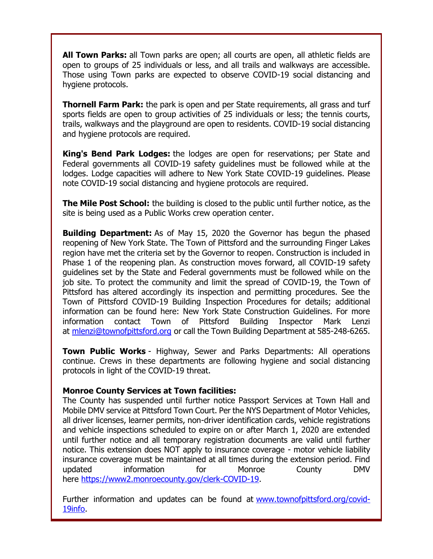**All Town Parks:** all Town parks are open; all courts are open, all athletic fields are open to groups of 25 individuals or less, and all trails and walkways are accessible. Those using Town parks are expected to observe COVID-19 social distancing and hygiene protocols.

**Thornell Farm Park:** the park is open and per State requirements, all grass and turf sports fields are open to group activities of 25 individuals or less; the tennis courts, trails, walkways and the playground are open to residents. COVID-19 social distancing and hygiene protocols are required.

**King's Bend Park Lodges:** the lodges are open for reservations; per State and Federal governments all COVID-19 safety guidelines must be followed while at the lodges. Lodge capacities will adhere to New York State COVID-19 guidelines. Please note COVID-19 social distancing and hygiene protocols are required.

**The Mile Post School:** the building is closed to the public until further notice, as the site is being used as a Public Works crew operation center.

**Building Department:** As of May 15, 2020 the Governor has begun the phased reopening of New York State. The Town of Pittsford and the surrounding Finger Lakes region have met the criteria set by the Governor to reopen. Construction is included in Phase 1 of the reopening plan. As construction moves forward, all COVID-19 safety guidelines set by the State and Federal governments must be followed while on the job site. To protect the community and limit the spread of COVID-19, the Town of Pittsford has altered accordingly its inspection and permitting procedures. See the Town of Pittsford COVID-19 Building Inspection Procedures for details; additional information can be found here: New York State Construction Guidelines. For more information contact Town of Pittsford Building Inspector Mark Lenzi at [mlenzi@townofpittsford.org](mailto:mlenzi@townofpittsford.org?subject=COVID-19%20Construciton%20Information) or call the Town Building Department at 585-248-6265.

**Town Public Works** - Highway, Sewer and Parks Departments: All operations continue. Crews in these departments are following hygiene and social distancing protocols in light of the COVID-19 threat.

#### **Monroe County Services at Town facilities:**

The County has suspended until further notice Passport Services at Town Hall and Mobile DMV service at Pittsford Town Court. Per the NYS Department of Motor Vehicles, all driver licenses, learner permits, non-driver identification cards, vehicle registrations and vehicle inspections scheduled to expire on or after March 1, 2020 are extended until further notice and all temporary registration documents are valid until further notice. This extension does NOT apply to insurance coverage - motor vehicle liability insurance coverage must be maintained at all times during the extension period. Find updated information for Monroe County DMV here [https://www2.monroecounty.gov/clerk-COVID-19.](http://r20.rs6.net/tn.jsp?f=001KPnFdqaD963YtucflQAerrsL6DVNFP6U30jIe8UvP_XvvpQyHqjrj9zLqoq3p9yUGUyWkE_VH3BMqvA78X6hPToUeDHJQ8aLC3aJyem2SQW534XAnRGpd-c-a3ieFjmrHxAPrM1y-6klhvxvMAbUloqXICQKxE4IwA20paInEAE=&c=3gRq5VHsHzABzVd6yEi_CYZQb9o0Znk9b8K6CxcBzTlWP3M53DwvUA==&ch=L43PCobAZbxYNDfpn8UWr1YBHViM3SDRVcRYbgdboJMt0cLjNz4pdA==)

Further information and updates can be found at [www.townofpittsford.org/covid-](http://r20.rs6.net/tn.jsp?f=001KPnFdqaD963YtucflQAerrsL6DVNFP6U30jIe8UvP_XvvpQyHqjrjyR6QPlgxOaivaTKADgqimiEP59woBv1-SorX1v7tQVaznP5Lw4xr877xh7zhM7L8WSayKu1rFF_1DMw8pyn664c3Z1nbZilJNf1mU_hjhzm7dArIFx33KE=&c=3gRq5VHsHzABzVd6yEi_CYZQb9o0Znk9b8K6CxcBzTlWP3M53DwvUA==&ch=L43PCobAZbxYNDfpn8UWr1YBHViM3SDRVcRYbgdboJMt0cLjNz4pdA==)[19info.](http://r20.rs6.net/tn.jsp?f=001KPnFdqaD963YtucflQAerrsL6DVNFP6U30jIe8UvP_XvvpQyHqjrjyR6QPlgxOaivaTKADgqimiEP59woBv1-SorX1v7tQVaznP5Lw4xr877xh7zhM7L8WSayKu1rFF_1DMw8pyn664c3Z1nbZilJNf1mU_hjhzm7dArIFx33KE=&c=3gRq5VHsHzABzVd6yEi_CYZQb9o0Znk9b8K6CxcBzTlWP3M53DwvUA==&ch=L43PCobAZbxYNDfpn8UWr1YBHViM3SDRVcRYbgdboJMt0cLjNz4pdA==)